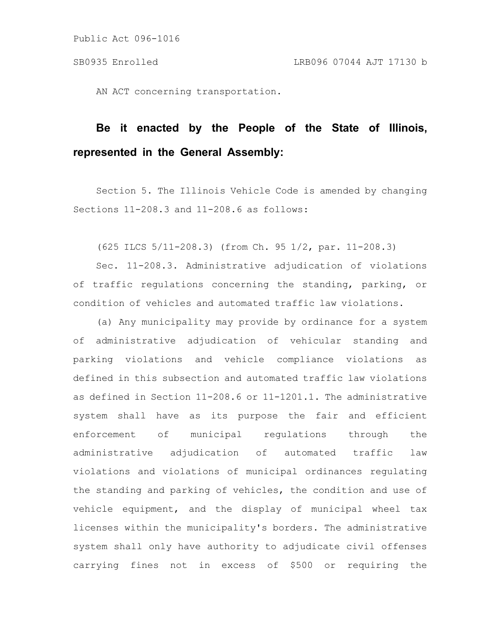AN ACT concerning transportation.

# **Be it enacted by the People of the State of Illinois, represented in the General Assembly:**

Section 5. The Illinois Vehicle Code is amended by changing Sections 11-208.3 and 11-208.6 as follows:

(625 ILCS 5/11-208.3) (from Ch. 95 1/2, par. 11-208.3)

Sec. 11-208.3. Administrative adjudication of violations of traffic regulations concerning the standing, parking, or condition of vehicles and automated traffic law violations.

(a) Any municipality may provide by ordinance for a system of administrative adjudication of vehicular standing and parking violations and vehicle compliance violations as defined in this subsection and automated traffic law violations as defined in Section 11-208.6 or 11-1201.1. The administrative system shall have as its purpose the fair and efficient enforcement of municipal regulations through the administrative adjudication of automated traffic law violations and violations of municipal ordinances regulating the standing and parking of vehicles, the condition and use of vehicle equipment, and the display of municipal wheel tax licenses within the municipality's borders. The administrative system shall only have authority to adjudicate civil offenses carrying fines not in excess of \$500 or requiring the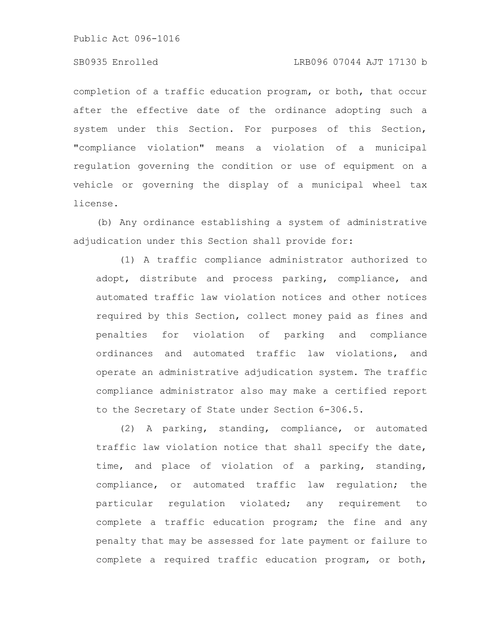# SB0935 Enrolled LRB096 07044 AJT 17130 b

completion of a traffic education program, or both, that occur after the effective date of the ordinance adopting such a system under this Section. For purposes of this Section, "compliance violation" means a violation of a municipal regulation governing the condition or use of equipment on a vehicle or governing the display of a municipal wheel tax license.

(b) Any ordinance establishing a system of administrative adjudication under this Section shall provide for:

(1) A traffic compliance administrator authorized to adopt, distribute and process parking, compliance, and automated traffic law violation notices and other notices required by this Section, collect money paid as fines and penalties for violation of parking and compliance ordinances and automated traffic law violations, and operate an administrative adjudication system. The traffic compliance administrator also may make a certified report to the Secretary of State under Section 6-306.5.

(2) A parking, standing, compliance, or automated traffic law violation notice that shall specify the date, time, and place of violation of a parking, standing, compliance, or automated traffic law regulation; the particular regulation violated; any requirement to complete a traffic education program; the fine and any penalty that may be assessed for late payment or failure to complete a required traffic education program, or both,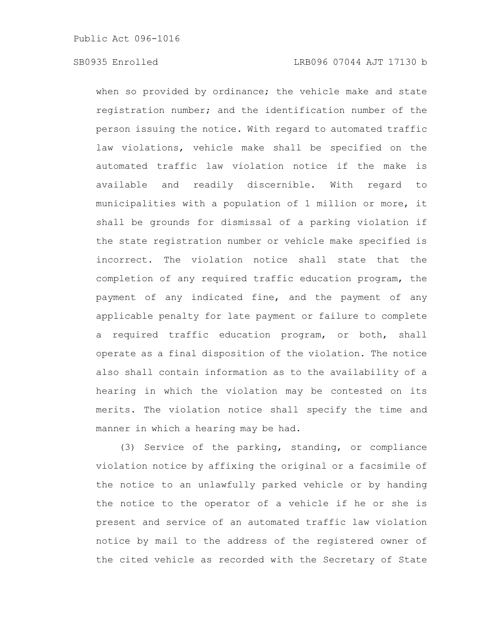when so provided by ordinance; the vehicle make and state registration number; and the identification number of the person issuing the notice. With regard to automated traffic law violations, vehicle make shall be specified on the automated traffic law violation notice if the make is available and readily discernible. With regard to municipalities with a population of 1 million or more, it shall be grounds for dismissal of a parking violation if the state registration number or vehicle make specified is incorrect. The violation notice shall state that the completion of any required traffic education program, the payment of any indicated fine, and the payment of any applicable penalty for late payment or failure to complete a required traffic education program, or both, shall operate as a final disposition of the violation. The notice also shall contain information as to the availability of a hearing in which the violation may be contested on its merits. The violation notice shall specify the time and manner in which a hearing may be had.

(3) Service of the parking, standing, or compliance violation notice by affixing the original or a facsimile of the notice to an unlawfully parked vehicle or by handing the notice to the operator of a vehicle if he or she is present and service of an automated traffic law violation notice by mail to the address of the registered owner of the cited vehicle as recorded with the Secretary of State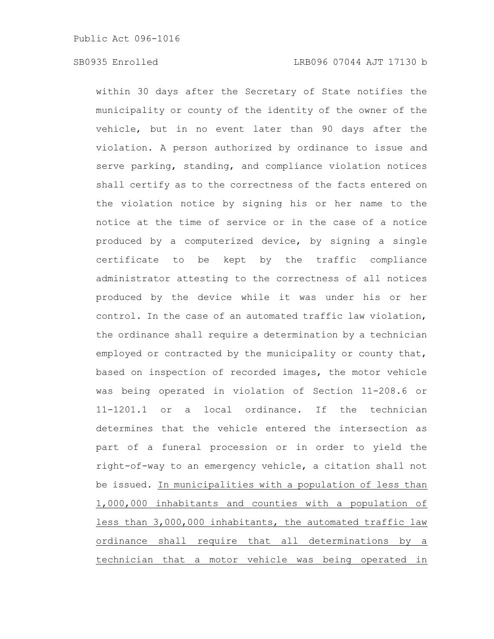within 30 days after the Secretary of State notifies the municipality or county of the identity of the owner of the vehicle, but in no event later than 90 days after the violation. A person authorized by ordinance to issue and serve parking, standing, and compliance violation notices shall certify as to the correctness of the facts entered on the violation notice by signing his or her name to the notice at the time of service or in the case of a notice produced by a computerized device, by signing a single certificate to be kept by the traffic compliance administrator attesting to the correctness of all notices produced by the device while it was under his or her control. In the case of an automated traffic law violation, the ordinance shall require a determination by a technician employed or contracted by the municipality or county that, based on inspection of recorded images, the motor vehicle was being operated in violation of Section 11-208.6 or 11-1201.1 or a local ordinance. If the technician determines that the vehicle entered the intersection as part of a funeral procession or in order to yield the right-of-way to an emergency vehicle, a citation shall not be issued. In municipalities with a population of less than 1,000,000 inhabitants and counties with a population of less than 3,000,000 inhabitants, the automated traffic law ordinance shall require that all determinations by a technician that a motor vehicle was being operated in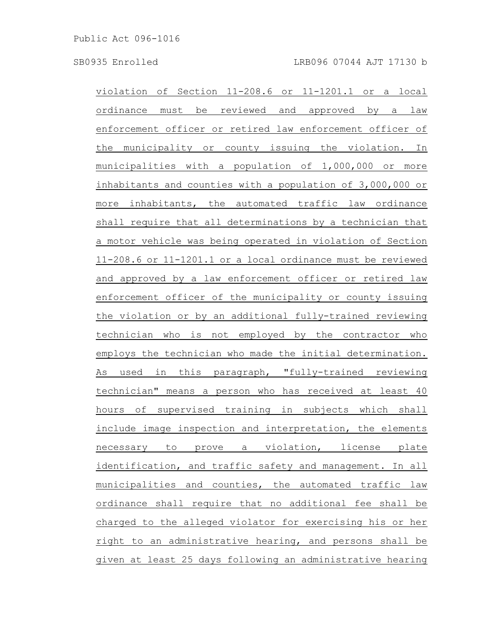violation of Section 11-208.6 or 11-1201.1 or a local ordinance must be reviewed and approved by a law enforcement officer or retired law enforcement officer of the municipality or county issuing the violation. In municipalities with a population of 1,000,000 or more inhabitants and counties with a population of 3,000,000 or more inhabitants, the automated traffic law ordinance shall require that all determinations by a technician that a motor vehicle was being operated in violation of Section 11-208.6 or 11-1201.1 or a local ordinance must be reviewed and approved by a law enforcement officer or retired law enforcement officer of the municipality or county issuing the violation or by an additional fully-trained reviewing technician who is not employed by the contractor who employs the technician who made the initial determination. As used in this paragraph, "fully-trained reviewing technician" means a person who has received at least 40 hours of supervised training in subjects which shall include image inspection and interpretation, the elements necessary to prove a violation, license plate identification, and traffic safety and management. In all municipalities and counties, the automated traffic law ordinance shall require that no additional fee shall be charged to the alleged violator for exercising his or her right to an administrative hearing, and persons shall be given at least 25 days following an administrative hearing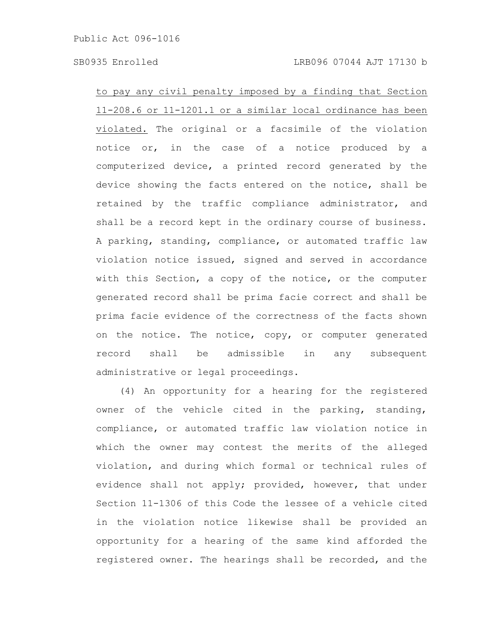### SB0935 Enrolled LRB096 07044 AJT 17130 b

to pay any civil penalty imposed by a finding that Section 11-208.6 or 11-1201.1 or a similar local ordinance has been violated. The original or a facsimile of the violation notice or, in the case of a notice produced by a computerized device, a printed record generated by the device showing the facts entered on the notice, shall be retained by the traffic compliance administrator, and shall be a record kept in the ordinary course of business. A parking, standing, compliance, or automated traffic law violation notice issued, signed and served in accordance with this Section, a copy of the notice, or the computer generated record shall be prima facie correct and shall be prima facie evidence of the correctness of the facts shown on the notice. The notice, copy, or computer generated record shall be admissible in any subsequent administrative or legal proceedings.

(4) An opportunity for a hearing for the registered owner of the vehicle cited in the parking, standing, compliance, or automated traffic law violation notice in which the owner may contest the merits of the alleged violation, and during which formal or technical rules of evidence shall not apply; provided, however, that under Section 11-1306 of this Code the lessee of a vehicle cited in the violation notice likewise shall be provided an opportunity for a hearing of the same kind afforded the registered owner. The hearings shall be recorded, and the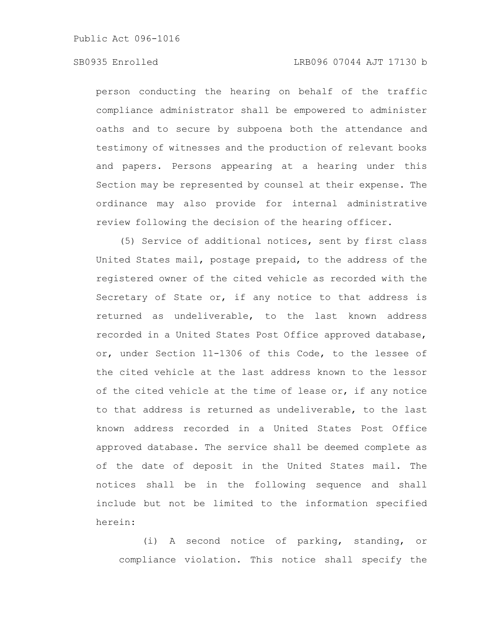# SB0935 Enrolled LRB096 07044 AJT 17130 b

person conducting the hearing on behalf of the traffic compliance administrator shall be empowered to administer oaths and to secure by subpoena both the attendance and testimony of witnesses and the production of relevant books and papers. Persons appearing at a hearing under this Section may be represented by counsel at their expense. The ordinance may also provide for internal administrative review following the decision of the hearing officer.

(5) Service of additional notices, sent by first class United States mail, postage prepaid, to the address of the registered owner of the cited vehicle as recorded with the Secretary of State or, if any notice to that address is returned as undeliverable, to the last known address recorded in a United States Post Office approved database, or, under Section 11-1306 of this Code, to the lessee of the cited vehicle at the last address known to the lessor of the cited vehicle at the time of lease or, if any notice to that address is returned as undeliverable, to the last known address recorded in a United States Post Office approved database. The service shall be deemed complete as of the date of deposit in the United States mail. The notices shall be in the following sequence and shall include but not be limited to the information specified herein:

(i) A second notice of parking, standing, or compliance violation. This notice shall specify the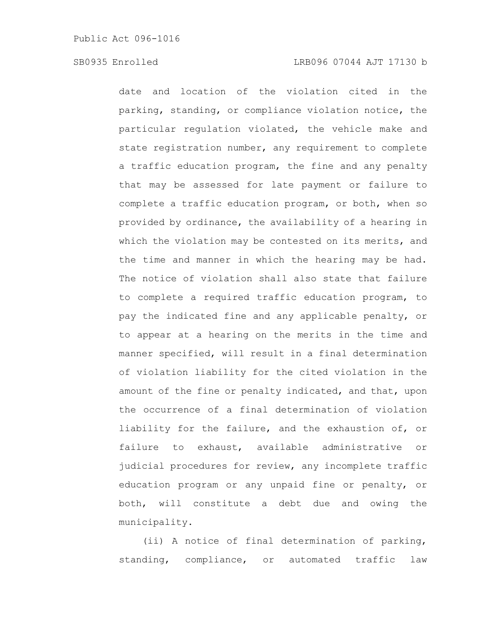date and location of the violation cited in the parking, standing, or compliance violation notice, the particular regulation violated, the vehicle make and state registration number, any requirement to complete a traffic education program, the fine and any penalty that may be assessed for late payment or failure to complete a traffic education program, or both, when so provided by ordinance, the availability of a hearing in which the violation may be contested on its merits, and the time and manner in which the hearing may be had. The notice of violation shall also state that failure to complete a required traffic education program, to pay the indicated fine and any applicable penalty, or to appear at a hearing on the merits in the time and manner specified, will result in a final determination of violation liability for the cited violation in the amount of the fine or penalty indicated, and that, upon the occurrence of a final determination of violation liability for the failure, and the exhaustion of, or failure to exhaust, available administrative or judicial procedures for review, any incomplete traffic education program or any unpaid fine or penalty, or both, will constitute a debt due and owing the municipality.

(ii) A notice of final determination of parking, standing, compliance, or automated traffic law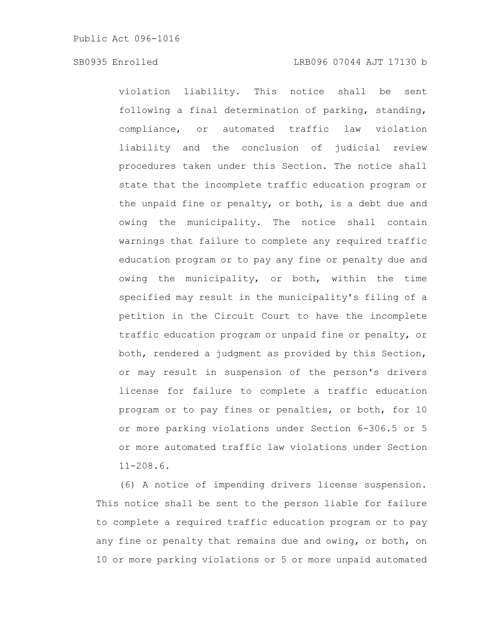# SB0935 Enrolled LRB096 07044 AJT 17130 b

violation liability. This notice shall be sent following a final determination of parking, standing, compliance, or automated traffic law violation liability and the conclusion of judicial review procedures taken under this Section. The notice shall state that the incomplete traffic education program or the unpaid fine or penalty, or both, is a debt due and owing the municipality. The notice shall contain warnings that failure to complete any required traffic education program or to pay any fine or penalty due and owing the municipality, or both, within the time specified may result in the municipality's filing of a petition in the Circuit Court to have the incomplete traffic education program or unpaid fine or penalty, or both, rendered a judgment as provided by this Section, or may result in suspension of the person's drivers license for failure to complete a traffic education program or to pay fines or penalties, or both, for 10 or more parking violations under Section 6-306.5 or 5 or more automated traffic law violations under Section 11-208.6.

(6) A notice of impending drivers license suspension. This notice shall be sent to the person liable for failure to complete a required traffic education program or to pay any fine or penalty that remains due and owing, or both, on 10 or more parking violations or 5 or more unpaid automated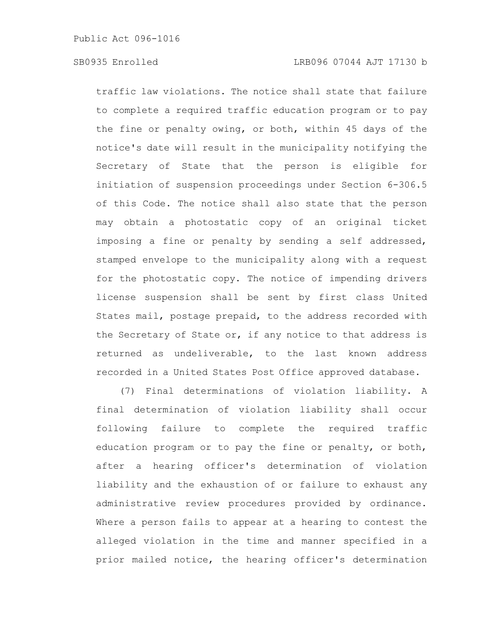traffic law violations. The notice shall state that failure to complete a required traffic education program or to pay the fine or penalty owing, or both, within 45 days of the notice's date will result in the municipality notifying the Secretary of State that the person is eligible for initiation of suspension proceedings under Section 6-306.5 of this Code. The notice shall also state that the person may obtain a photostatic copy of an original ticket imposing a fine or penalty by sending a self addressed, stamped envelope to the municipality along with a request for the photostatic copy. The notice of impending drivers license suspension shall be sent by first class United States mail, postage prepaid, to the address recorded with the Secretary of State or, if any notice to that address is returned as undeliverable, to the last known address recorded in a United States Post Office approved database.

(7) Final determinations of violation liability. A final determination of violation liability shall occur following failure to complete the required traffic education program or to pay the fine or penalty, or both, after a hearing officer's determination of violation liability and the exhaustion of or failure to exhaust any administrative review procedures provided by ordinance. Where a person fails to appear at a hearing to contest the alleged violation in the time and manner specified in a prior mailed notice, the hearing officer's determination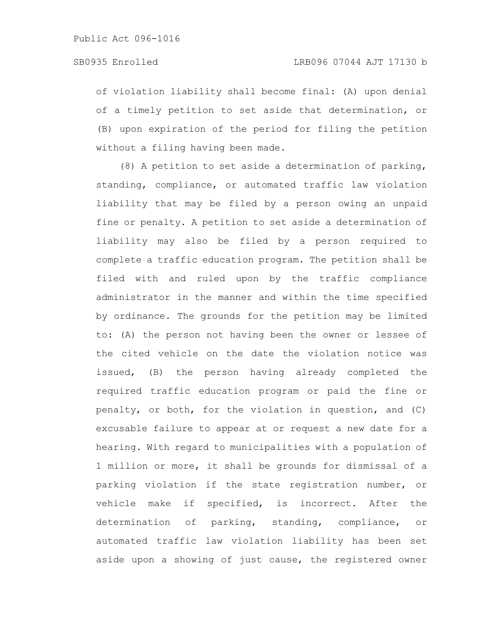of violation liability shall become final: (A) upon denial of a timely petition to set aside that determination, or (B) upon expiration of the period for filing the petition without a filing having been made.

(8) A petition to set aside a determination of parking, standing, compliance, or automated traffic law violation liability that may be filed by a person owing an unpaid fine or penalty. A petition to set aside a determination of liability may also be filed by a person required to complete a traffic education program. The petition shall be filed with and ruled upon by the traffic compliance administrator in the manner and within the time specified by ordinance. The grounds for the petition may be limited to: (A) the person not having been the owner or lessee of the cited vehicle on the date the violation notice was issued, (B) the person having already completed the required traffic education program or paid the fine or penalty, or both, for the violation in question, and (C) excusable failure to appear at or request a new date for a hearing. With regard to municipalities with a population of 1 million or more, it shall be grounds for dismissal of a parking violation if the state registration number, or vehicle make if specified, is incorrect. After the determination of parking, standing, compliance, or automated traffic law violation liability has been set aside upon a showing of just cause, the registered owner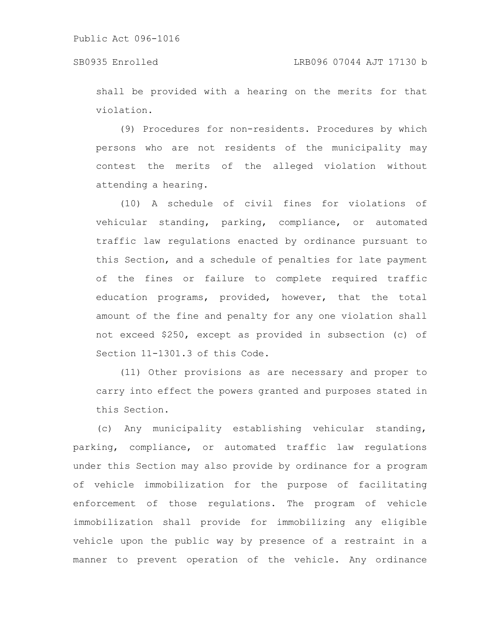shall be provided with a hearing on the merits for that violation.

(9) Procedures for non-residents. Procedures by which persons who are not residents of the municipality may contest the merits of the alleged violation without attending a hearing.

(10) A schedule of civil fines for violations of vehicular standing, parking, compliance, or automated traffic law regulations enacted by ordinance pursuant to this Section, and a schedule of penalties for late payment of the fines or failure to complete required traffic education programs, provided, however, that the total amount of the fine and penalty for any one violation shall not exceed \$250, except as provided in subsection (c) of Section 11-1301.3 of this Code.

(11) Other provisions as are necessary and proper to carry into effect the powers granted and purposes stated in this Section.

(c) Any municipality establishing vehicular standing, parking, compliance, or automated traffic law regulations under this Section may also provide by ordinance for a program of vehicle immobilization for the purpose of facilitating enforcement of those regulations. The program of vehicle immobilization shall provide for immobilizing any eligible vehicle upon the public way by presence of a restraint in a manner to prevent operation of the vehicle. Any ordinance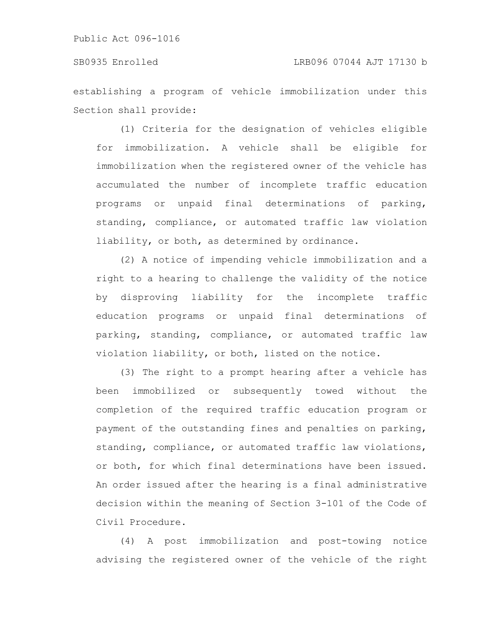establishing a program of vehicle immobilization under this Section shall provide:

(1) Criteria for the designation of vehicles eligible for immobilization. A vehicle shall be eligible for immobilization when the registered owner of the vehicle has accumulated the number of incomplete traffic education programs or unpaid final determinations of parking, standing, compliance, or automated traffic law violation liability, or both, as determined by ordinance.

(2) A notice of impending vehicle immobilization and a right to a hearing to challenge the validity of the notice by disproving liability for the incomplete traffic education programs or unpaid final determinations of parking, standing, compliance, or automated traffic law violation liability, or both, listed on the notice.

(3) The right to a prompt hearing after a vehicle has been immobilized or subsequently towed without the completion of the required traffic education program or payment of the outstanding fines and penalties on parking, standing, compliance, or automated traffic law violations, or both, for which final determinations have been issued. An order issued after the hearing is a final administrative decision within the meaning of Section 3-101 of the Code of Civil Procedure.

(4) A post immobilization and post-towing notice advising the registered owner of the vehicle of the right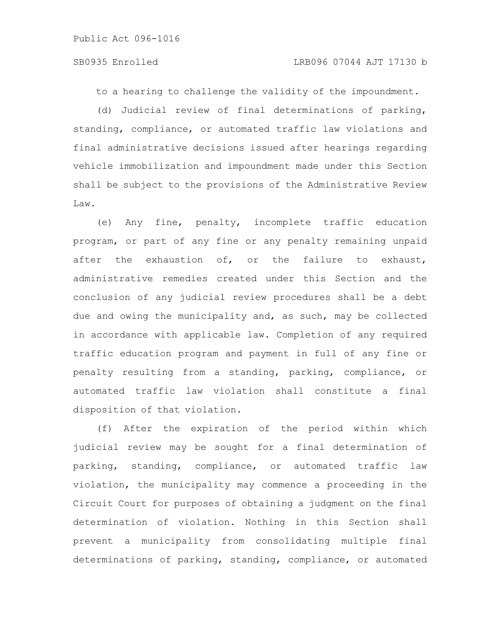to a hearing to challenge the validity of the impoundment.

(d) Judicial review of final determinations of parking, standing, compliance, or automated traffic law violations and final administrative decisions issued after hearings regarding vehicle immobilization and impoundment made under this Section shall be subject to the provisions of the Administrative Review Law.

(e) Any fine, penalty, incomplete traffic education program, or part of any fine or any penalty remaining unpaid after the exhaustion of, or the failure to exhaust, administrative remedies created under this Section and the conclusion of any judicial review procedures shall be a debt due and owing the municipality and, as such, may be collected in accordance with applicable law. Completion of any required traffic education program and payment in full of any fine or penalty resulting from a standing, parking, compliance, or automated traffic law violation shall constitute a final disposition of that violation.

(f) After the expiration of the period within which judicial review may be sought for a final determination of parking, standing, compliance, or automated traffic law violation, the municipality may commence a proceeding in the Circuit Court for purposes of obtaining a judgment on the final determination of violation. Nothing in this Section shall prevent a municipality from consolidating multiple final determinations of parking, standing, compliance, or automated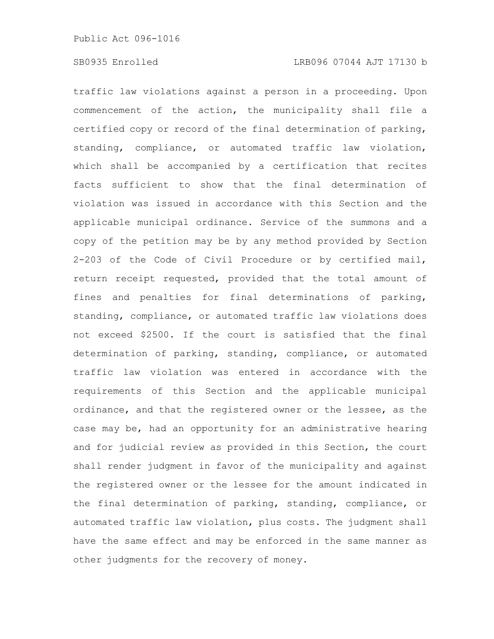traffic law violations against a person in a proceeding. Upon commencement of the action, the municipality shall file a certified copy or record of the final determination of parking, standing, compliance, or automated traffic law violation, which shall be accompanied by a certification that recites facts sufficient to show that the final determination of violation was issued in accordance with this Section and the applicable municipal ordinance. Service of the summons and a copy of the petition may be by any method provided by Section 2-203 of the Code of Civil Procedure or by certified mail, return receipt requested, provided that the total amount of fines and penalties for final determinations of parking, standing, compliance, or automated traffic law violations does not exceed \$2500. If the court is satisfied that the final determination of parking, standing, compliance, or automated traffic law violation was entered in accordance with the requirements of this Section and the applicable municipal ordinance, and that the registered owner or the lessee, as the case may be, had an opportunity for an administrative hearing and for judicial review as provided in this Section, the court shall render judgment in favor of the municipality and against the registered owner or the lessee for the amount indicated in the final determination of parking, standing, compliance, or automated traffic law violation, plus costs. The judgment shall have the same effect and may be enforced in the same manner as other judgments for the recovery of money.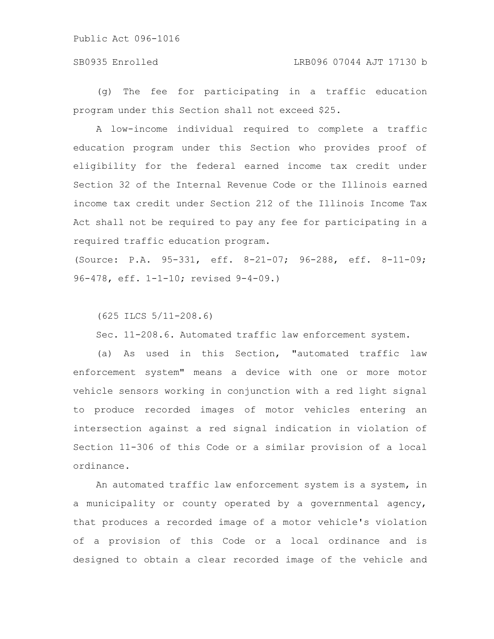### SB0935 Enrolled LRB096 07044 AJT 17130 b

(g) The fee for participating in a traffic education program under this Section shall not exceed \$25.

A low-income individual required to complete a traffic education program under this Section who provides proof of eligibility for the federal earned income tax credit under Section 32 of the Internal Revenue Code or the Illinois earned income tax credit under Section 212 of the Illinois Income Tax Act shall not be required to pay any fee for participating in a required traffic education program.

(Source: P.A. 95-331, eff. 8-21-07; 96-288, eff. 8-11-09; 96-478, eff. 1-1-10; revised 9-4-09.)

(625 ILCS 5/11-208.6)

Sec. 11-208.6. Automated traffic law enforcement system.

(a) As used in this Section, "automated traffic law enforcement system" means a device with one or more motor vehicle sensors working in conjunction with a red light signal to produce recorded images of motor vehicles entering an intersection against a red signal indication in violation of Section 11-306 of this Code or a similar provision of a local ordinance.

An automated traffic law enforcement system is a system, in a municipality or county operated by a governmental agency, that produces a recorded image of a motor vehicle's violation of a provision of this Code or a local ordinance and is designed to obtain a clear recorded image of the vehicle and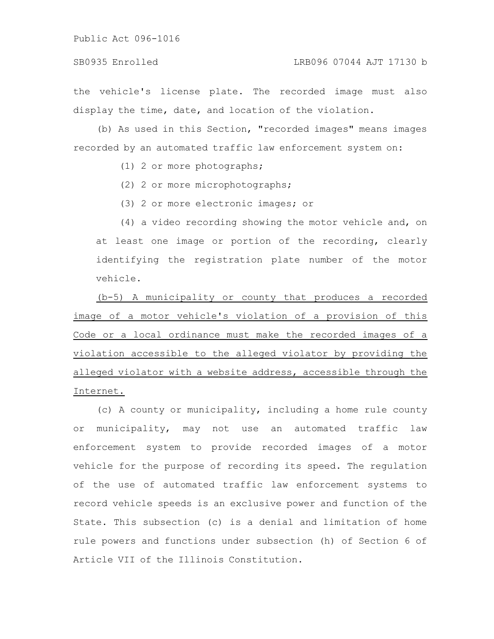### SB0935 Enrolled LRB096 07044 AJT 17130 b

the vehicle's license plate. The recorded image must also display the time, date, and location of the violation.

(b) As used in this Section, "recorded images" means images recorded by an automated traffic law enforcement system on:

- (1) 2 or more photographs;
- (2) 2 or more microphotographs;
- (3) 2 or more electronic images; or

(4) a video recording showing the motor vehicle and, on at least one image or portion of the recording, clearly identifying the registration plate number of the motor vehicle.

(b-5) A municipality or county that produces a recorded image of a motor vehicle's violation of a provision of this Code or a local ordinance must make the recorded images of a violation accessible to the alleged violator by providing the alleged violator with a website address, accessible through the Internet.

(c) A county or municipality, including a home rule county or municipality, may not use an automated traffic law enforcement system to provide recorded images of a motor vehicle for the purpose of recording its speed. The regulation of the use of automated traffic law enforcement systems to record vehicle speeds is an exclusive power and function of the State. This subsection (c) is a denial and limitation of home rule powers and functions under subsection (h) of Section 6 of Article VII of the Illinois Constitution.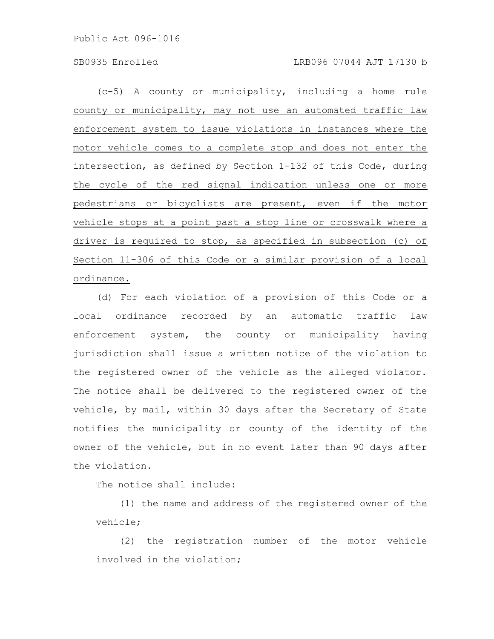(c-5) A county or municipality, including a home rule county or municipality, may not use an automated traffic law enforcement system to issue violations in instances where the motor vehicle comes to a complete stop and does not enter the intersection, as defined by Section 1-132 of this Code, during the cycle of the red signal indication unless one or more pedestrians or bicyclists are present, even if the motor vehicle stops at a point past a stop line or crosswalk where a driver is required to stop, as specified in subsection (c) of Section 11-306 of this Code or a similar provision of a local ordinance.

(d) For each violation of a provision of this Code or a local ordinance recorded by an automatic traffic law enforcement system, the county or municipality having jurisdiction shall issue a written notice of the violation to the registered owner of the vehicle as the alleged violator. The notice shall be delivered to the registered owner of the vehicle, by mail, within 30 days after the Secretary of State notifies the municipality or county of the identity of the owner of the vehicle, but in no event later than 90 days after the violation.

The notice shall include:

(1) the name and address of the registered owner of the vehicle;

(2) the registration number of the motor vehicle involved in the violation;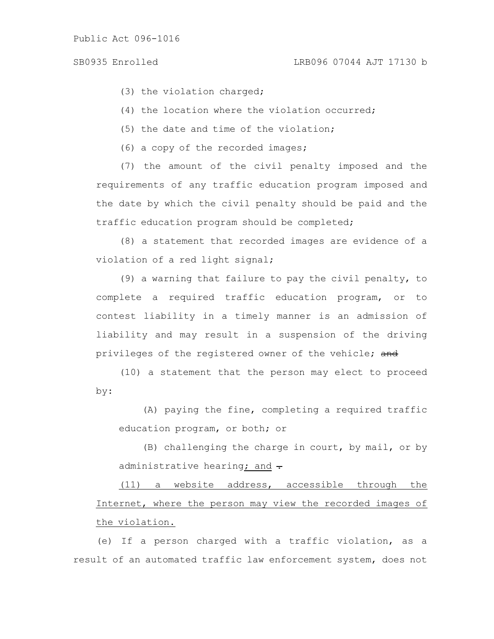(3) the violation charged;

(4) the location where the violation occurred;

(5) the date and time of the violation;

(6) a copy of the recorded images;

(7) the amount of the civil penalty imposed and the requirements of any traffic education program imposed and the date by which the civil penalty should be paid and the traffic education program should be completed;

(8) a statement that recorded images are evidence of a violation of a red light signal;

(9) a warning that failure to pay the civil penalty, to complete a required traffic education program, or to contest liability in a timely manner is an admission of liability and may result in a suspension of the driving privileges of the registered owner of the vehicle; and

(10) a statement that the person may elect to proceed by:

(A) paying the fine, completing a required traffic education program, or both; or

(B) challenging the charge in court, by mail, or by administrative hearing; and  $\div$ 

(11) a website address, accessible through the Internet, where the person may view the recorded images of the violation.

(e) If a person charged with a traffic violation, as a result of an automated traffic law enforcement system, does not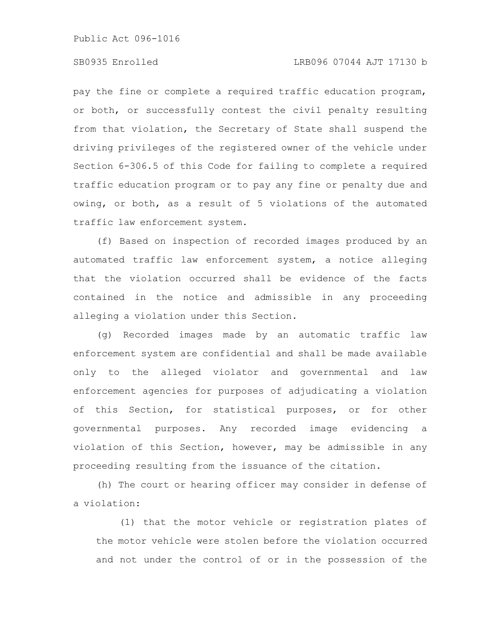# SB0935 Enrolled LRB096 07044 AJT 17130 b

pay the fine or complete a required traffic education program, or both, or successfully contest the civil penalty resulting from that violation, the Secretary of State shall suspend the driving privileges of the registered owner of the vehicle under Section 6-306.5 of this Code for failing to complete a required traffic education program or to pay any fine or penalty due and owing, or both, as a result of 5 violations of the automated traffic law enforcement system.

(f) Based on inspection of recorded images produced by an automated traffic law enforcement system, a notice alleging that the violation occurred shall be evidence of the facts contained in the notice and admissible in any proceeding alleging a violation under this Section.

(g) Recorded images made by an automatic traffic law enforcement system are confidential and shall be made available only to the alleged violator and governmental and law enforcement agencies for purposes of adjudicating a violation of this Section, for statistical purposes, or for other governmental purposes. Any recorded image evidencing a violation of this Section, however, may be admissible in any proceeding resulting from the issuance of the citation.

(h) The court or hearing officer may consider in defense of a violation:

(1) that the motor vehicle or registration plates of the motor vehicle were stolen before the violation occurred and not under the control of or in the possession of the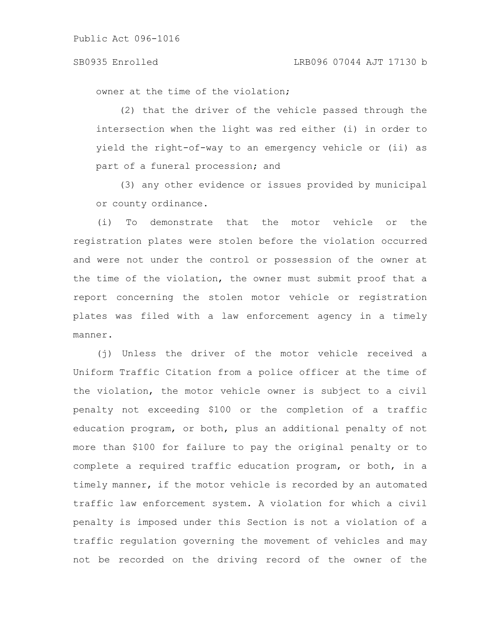### SB0935 Enrolled LRB096 07044 AJT 17130 b

owner at the time of the violation;

(2) that the driver of the vehicle passed through the intersection when the light was red either (i) in order to yield the right-of-way to an emergency vehicle or (ii) as part of a funeral procession; and

(3) any other evidence or issues provided by municipal or county ordinance.

(i) To demonstrate that the motor vehicle or the registration plates were stolen before the violation occurred and were not under the control or possession of the owner at the time of the violation, the owner must submit proof that a report concerning the stolen motor vehicle or registration plates was filed with a law enforcement agency in a timely manner.

(j) Unless the driver of the motor vehicle received a Uniform Traffic Citation from a police officer at the time of the violation, the motor vehicle owner is subject to a civil penalty not exceeding \$100 or the completion of a traffic education program, or both, plus an additional penalty of not more than \$100 for failure to pay the original penalty or to complete a required traffic education program, or both, in a timely manner, if the motor vehicle is recorded by an automated traffic law enforcement system. A violation for which a civil penalty is imposed under this Section is not a violation of a traffic regulation governing the movement of vehicles and may not be recorded on the driving record of the owner of the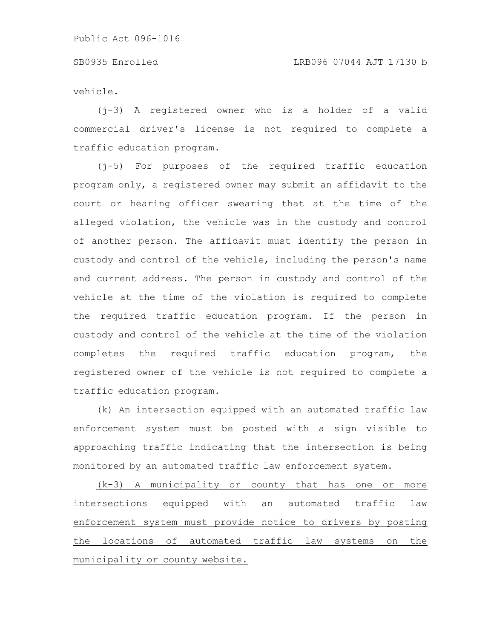vehicle.

(j-3) A registered owner who is a holder of a valid commercial driver's license is not required to complete a traffic education program.

(j-5) For purposes of the required traffic education program only, a registered owner may submit an affidavit to the court or hearing officer swearing that at the time of the alleged violation, the vehicle was in the custody and control of another person. The affidavit must identify the person in custody and control of the vehicle, including the person's name and current address. The person in custody and control of the vehicle at the time of the violation is required to complete the required traffic education program. If the person in custody and control of the vehicle at the time of the violation completes the required traffic education program, the registered owner of the vehicle is not required to complete a traffic education program.

(k) An intersection equipped with an automated traffic law enforcement system must be posted with a sign visible to approaching traffic indicating that the intersection is being monitored by an automated traffic law enforcement system.

(k-3) A municipality or county that has one or more intersections equipped with an automated traffic law enforcement system must provide notice to drivers by posting the locations of automated traffic law systems on the municipality or county website.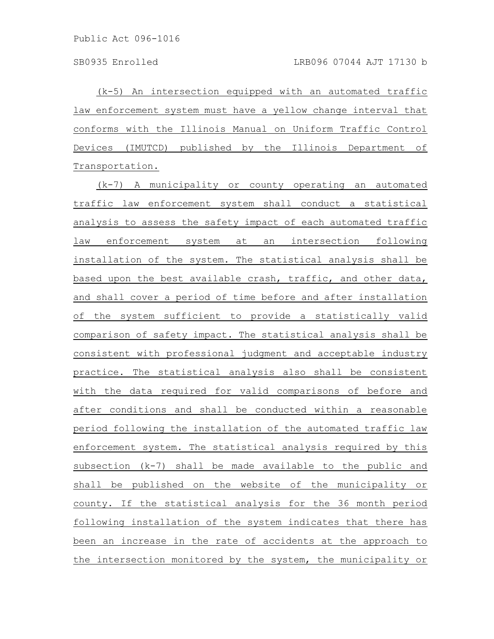(k-5) An intersection equipped with an automated traffic law enforcement system must have a yellow change interval that conforms with the Illinois Manual on Uniform Traffic Control Devices (IMUTCD) published by the Illinois Department of Transportation.

(k-7) A municipality or county operating an automated traffic law enforcement system shall conduct a statistical analysis to assess the safety impact of each automated traffic law enforcement system at an intersection following installation of the system. The statistical analysis shall be based upon the best available crash, traffic, and other data, and shall cover a period of time before and after installation of the system sufficient to provide a statistically valid comparison of safety impact. The statistical analysis shall be consistent with professional judgment and acceptable industry practice. The statistical analysis also shall be consistent with the data required for valid comparisons of before and after conditions and shall be conducted within a reasonable period following the installation of the automated traffic law enforcement system. The statistical analysis required by this subsection (k-7) shall be made available to the public and shall be published on the website of the municipality or county. If the statistical analysis for the 36 month period following installation of the system indicates that there has been an increase in the rate of accidents at the approach to the intersection monitored by the system, the municipality or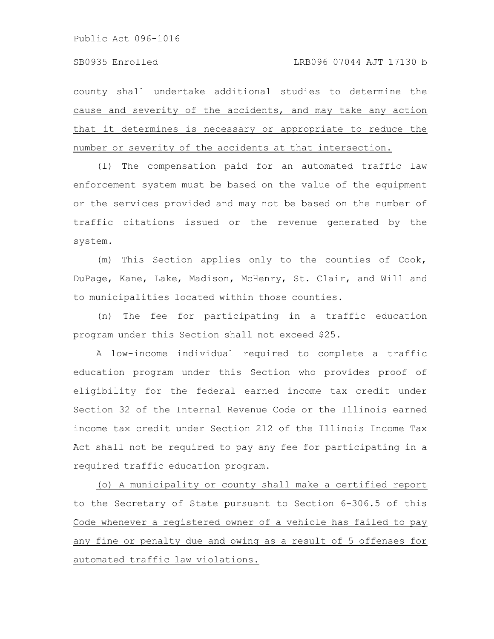county shall undertake additional studies to determine the cause and severity of the accidents, and may take any action that it determines is necessary or appropriate to reduce the number or severity of the accidents at that intersection.

(l) The compensation paid for an automated traffic law enforcement system must be based on the value of the equipment or the services provided and may not be based on the number of traffic citations issued or the revenue generated by the system.

(m) This Section applies only to the counties of Cook, DuPage, Kane, Lake, Madison, McHenry, St. Clair, and Will and to municipalities located within those counties.

(n) The fee for participating in a traffic education program under this Section shall not exceed \$25.

A low-income individual required to complete a traffic education program under this Section who provides proof of eligibility for the federal earned income tax credit under Section 32 of the Internal Revenue Code or the Illinois earned income tax credit under Section 212 of the Illinois Income Tax Act shall not be required to pay any fee for participating in a required traffic education program.

(o) A municipality or county shall make a certified report to the Secretary of State pursuant to Section 6-306.5 of this Code whenever a registered owner of a vehicle has failed to pay any fine or penalty due and owing as a result of 5 offenses for automated traffic law violations.